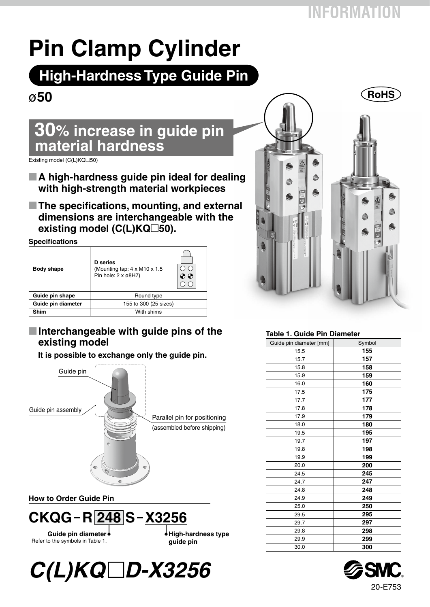# **Pin Clamp Cylinder**

## **High-Hardness Type Guide Pin**

### ø**50**

### **30% increase in guide pin material hardness**

 $Existing model (C(L)KQ \Box 50)$ 

- A high-hardness guide pin ideal for dealing **with high-strength material workpieces**
- The specifications, mounting, and external **dimensions are interchangeable with the existing model (C(L)KQ□50).**

**Specifications**

| <b>Body shape</b>  | <b>D</b> series<br>(Mounting tap: $4 \times M10 \times 1.5$<br>Pin hole: $2 \times 68$ H7) | $\Phi$ |  |  |  |  |  |  |  |  |
|--------------------|--------------------------------------------------------------------------------------------|--------|--|--|--|--|--|--|--|--|
| Guide pin shape    | Round type                                                                                 |        |  |  |  |  |  |  |  |  |
| Guide pin diameter | 155 to 300 (25 sizes)                                                                      |        |  |  |  |  |  |  |  |  |
| Shim               | With shims                                                                                 |        |  |  |  |  |  |  |  |  |

#### **M** Interchangeable with guide pins of the **existing model**

**It is possible to exchange only the guide pin.** Guide pin Guide pin assembly Parallel pin for positioning (assembled before shipping)

**How to Order Guide Pin**



**Guide pin diameter** Refer to the symbols in Table 1.

**High-hardness type guide pin**





#### **Table 1. Guide Pin Diameter**

| Guide pin diameter [mm] | Symbol |
|-------------------------|--------|
| 15.5                    | 155    |
| 15.7                    | 157    |
| 15.8                    | 158    |
| 15.9                    | 159    |
| 16.0                    | 160    |
| 17.5                    | 175    |
| 17.7                    | 177    |
| 17.8                    | 178    |
| 17.9                    | 179    |
| 18.0                    | 180    |
| 19.5                    | 195    |
| 19.7                    | 197    |
| 19.8                    | 198    |
| 19.9                    | 199    |
| 20.0                    | 200    |
| 24.5                    | 245    |
| 24.7                    | 247    |
| 24.8                    | 248    |
| 24.9                    | 249    |
| 25.0                    | 250    |
| 29.5                    | 295    |
| 29.7                    | 297    |
| 29.8                    | 298    |
| 29.9                    | 299    |
| 30.0                    | 300    |